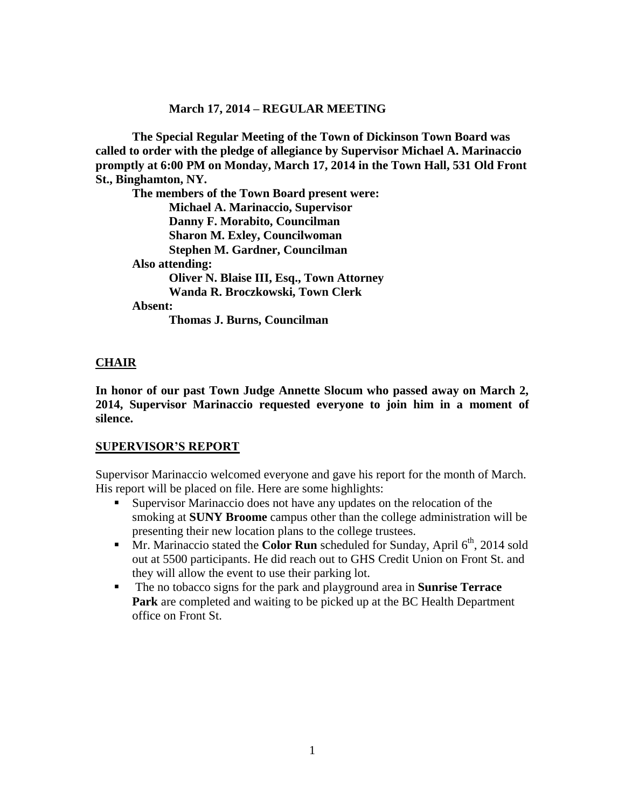### **March 17, 2014 – REGULAR MEETING**

**The Special Regular Meeting of the Town of Dickinson Town Board was called to order with the pledge of allegiance by Supervisor Michael A. Marinaccio promptly at 6:00 PM on Monday, March 17, 2014 in the Town Hall, 531 Old Front St., Binghamton, NY.** 

**The members of the Town Board present were: Michael A. Marinaccio, Supervisor Danny F. Morabito, Councilman Sharon M. Exley, Councilwoman Stephen M. Gardner, Councilman Also attending: Oliver N. Blaise III, Esq., Town Attorney Wanda R. Broczkowski, Town Clerk Absent: Thomas J. Burns, Councilman**

## **CHAIR**

**In honor of our past Town Judge Annette Slocum who passed away on March 2, 2014, Supervisor Marinaccio requested everyone to join him in a moment of silence.**

### **SUPERVISOR'S REPORT**

Supervisor Marinaccio welcomed everyone and gave his report for the month of March. His report will be placed on file. Here are some highlights:

- Supervisor Marinaccio does not have any updates on the relocation of the smoking at **SUNY Broome** campus other than the college administration will be presenting their new location plans to the college trustees.
- **Mr. Marinaccio stated the Color Run** scheduled for Sunday, April 6<sup>th</sup>, 2014 sold out at 5500 participants. He did reach out to GHS Credit Union on Front St. and they will allow the event to use their parking lot.
- The no tobacco signs for the park and playground area in **Sunrise Terrace Park** are completed and waiting to be picked up at the BC Health Department office on Front St.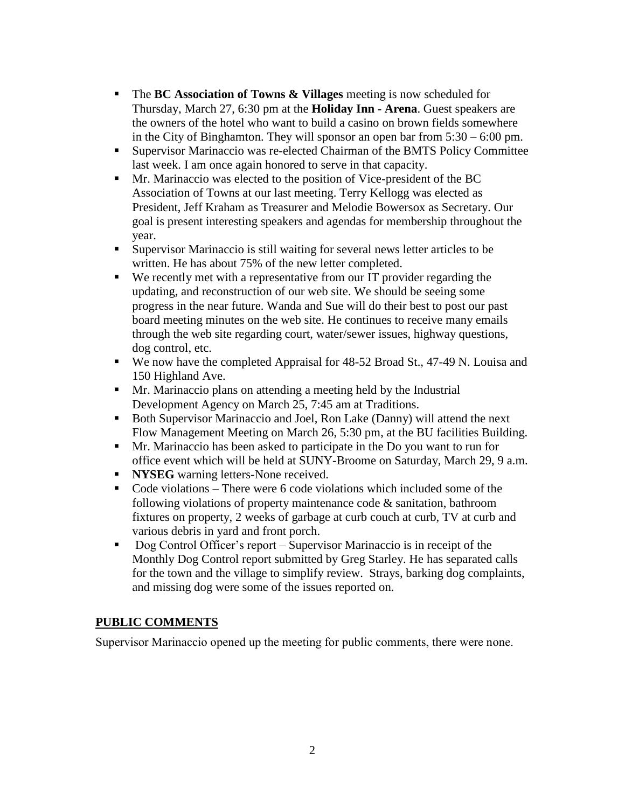- The **BC Association of Towns & Villages** meeting is now scheduled for Thursday, March 27, 6:30 pm at the **Holiday Inn - Arena**. Guest speakers are the owners of the hotel who want to build a casino on brown fields somewhere in the City of Binghamton. They will sponsor an open bar from 5:30 – 6:00 pm.
- Supervisor Marinaccio was re-elected Chairman of the BMTS Policy Committee last week. I am once again honored to serve in that capacity.
- Mr. Marinaccio was elected to the position of Vice-president of the BC Association of Towns at our last meeting. Terry Kellogg was elected as President, Jeff Kraham as Treasurer and Melodie Bowersox as Secretary. Our goal is present interesting speakers and agendas for membership throughout the year.
- Supervisor Marinaccio is still waiting for several news letter articles to be written. He has about 75% of the new letter completed.
- We recently met with a representative from our IT provider regarding the updating, and reconstruction of our web site. We should be seeing some progress in the near future. Wanda and Sue will do their best to post our past board meeting minutes on the web site. He continues to receive many emails through the web site regarding court, water/sewer issues, highway questions, dog control, etc.
- We now have the completed Appraisal for 48-52 Broad St., 47-49 N. Louisa and 150 Highland Ave.
- Mr. Marinaccio plans on attending a meeting held by the Industrial Development Agency on March 25, 7:45 am at Traditions.
- Both Supervisor Marinaccio and Joel, Ron Lake (Danny) will attend the next Flow Management Meeting on March 26, 5:30 pm, at the BU facilities Building.
- Mr. Marinaccio has been asked to participate in the Do you want to run for office event which will be held at SUNY-Broome on Saturday, March 29, 9 a.m.
- **NYSEG** warning letters-None received.
- Code violations There were 6 code violations which included some of the following violations of property maintenance code & sanitation, bathroom fixtures on property, 2 weeks of garbage at curb couch at curb, TV at curb and various debris in yard and front porch.
- Dog Control Officer's report Supervisor Marinaccio is in receipt of the Monthly Dog Control report submitted by Greg Starley. He has separated calls for the town and the village to simplify review. Strays, barking dog complaints, and missing dog were some of the issues reported on.

# **PUBLIC COMMENTS**

Supervisor Marinaccio opened up the meeting for public comments, there were none.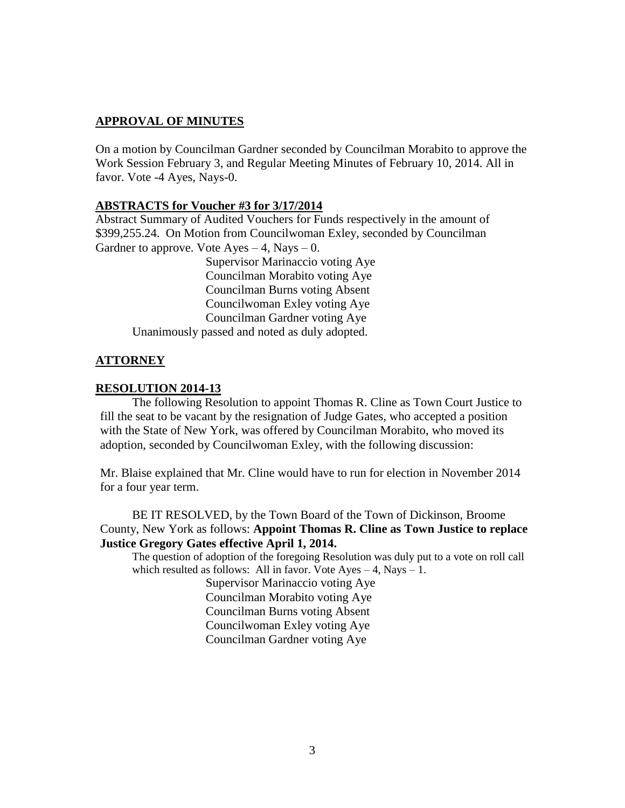## **APPROVAL OF MINUTES**

On a motion by Councilman Gardner seconded by Councilman Morabito to approve the Work Session February 3, and Regular Meeting Minutes of February 10, 2014. All in favor. Vote -4 Ayes, Nays-0.

## **ABSTRACTS for Voucher #3 for 3/17/2014**

Abstract Summary of Audited Vouchers for Funds respectively in the amount of \$399,255.24. On Motion from Councilwoman Exley, seconded by Councilman Gardner to approve. Vote  $A$ yes  $-4$ , Nays  $-0$ .

Supervisor Marinaccio voting Aye Councilman Morabito voting Aye Councilman Burns voting Absent Councilwoman Exley voting Aye Councilman Gardner voting Aye Unanimously passed and noted as duly adopted.

## **ATTORNEY**

### **RESOLUTION 2014-13**

The following Resolution to appoint Thomas R. Cline as Town Court Justice to fill the seat to be vacant by the resignation of Judge Gates, who accepted a position with the State of New York, was offered by Councilman Morabito, who moved its adoption, seconded by Councilwoman Exley, with the following discussion:

Mr. Blaise explained that Mr. Cline would have to run for election in November 2014 for a four year term.

BE IT RESOLVED, by the Town Board of the Town of Dickinson, Broome County, New York as follows: **Appoint Thomas R. Cline as Town Justice to replace Justice Gregory Gates effective April 1, 2014.**

The question of adoption of the foregoing Resolution was duly put to a vote on roll call which resulted as follows: All in favor. Vote  $Aves - 4$ , Nays  $- 1$ . Supervisor Marinaccio voting Aye

> Councilman Morabito voting Aye Councilman Burns voting Absent Councilwoman Exley voting Aye Councilman Gardner voting Aye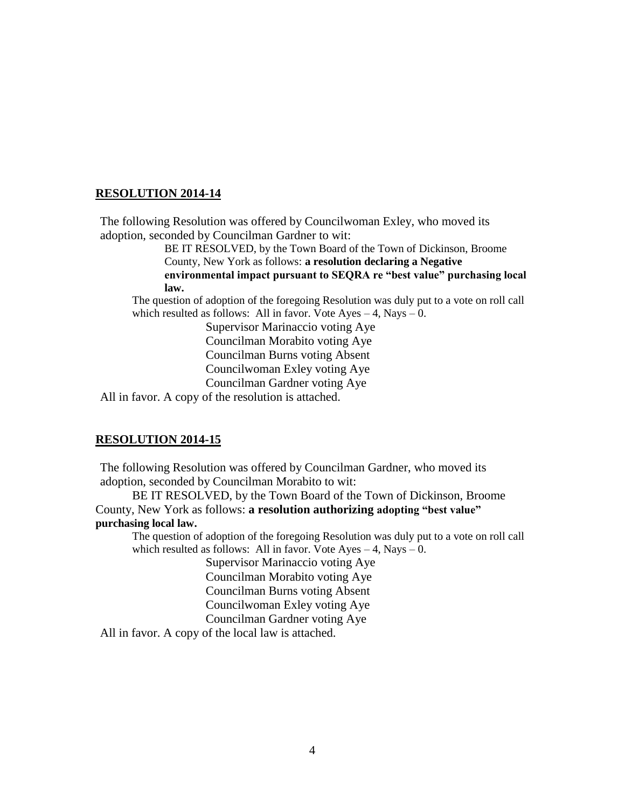The following Resolution was offered by Councilwoman Exley, who moved its adoption, seconded by Councilman Gardner to wit:

> BE IT RESOLVED, by the Town Board of the Town of Dickinson, Broome County, New York as follows: **a resolution declaring a Negative environmental impact pursuant to SEQRA re "best value" purchasing local law.**

The question of adoption of the foregoing Resolution was duly put to a vote on roll call which resulted as follows: All in favor. Vote  $Ayes - 4$ , Nays  $- 0$ .

> Supervisor Marinaccio voting Aye Councilman Morabito voting Aye Councilman Burns voting Absent Councilwoman Exley voting Aye Councilman Gardner voting Aye

All in favor. A copy of the resolution is attached.

#### **RESOLUTION 2014-15**

The following Resolution was offered by Councilman Gardner, who moved its adoption, seconded by Councilman Morabito to wit:

BE IT RESOLVED, by the Town Board of the Town of Dickinson, Broome County, New York as follows: **a resolution authorizing adopting "best value" purchasing local law.**

The question of adoption of the foregoing Resolution was duly put to a vote on roll call which resulted as follows: All in favor. Vote  $Ayes - 4$ , Nays  $- 0$ .

> Supervisor Marinaccio voting Aye Councilman Morabito voting Aye Councilman Burns voting Absent Councilwoman Exley voting Aye Councilman Gardner voting Aye

All in favor. A copy of the local law is attached.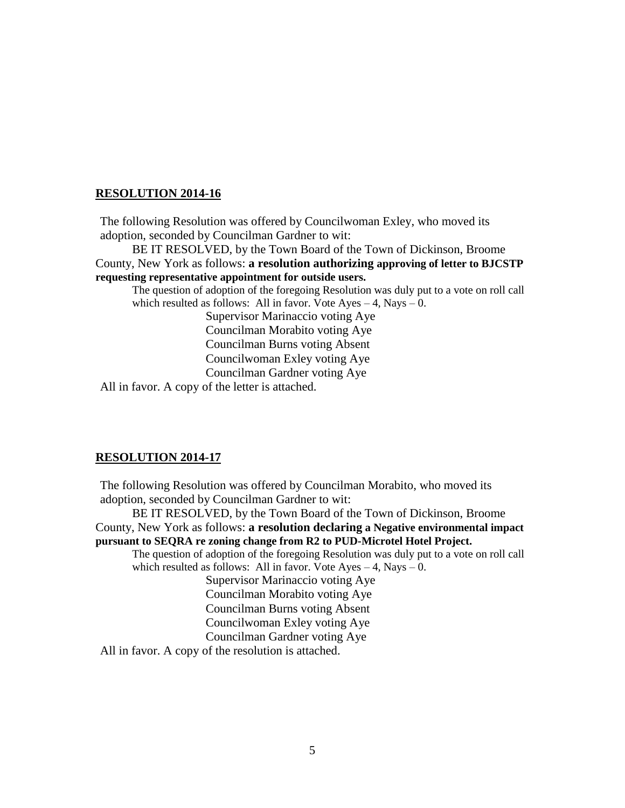The following Resolution was offered by Councilwoman Exley, who moved its adoption, seconded by Councilman Gardner to wit:

BE IT RESOLVED, by the Town Board of the Town of Dickinson, Broome County, New York as follows: **a resolution authorizing approving of letter to BJCSTP requesting representative appointment for outside users.**

The question of adoption of the foregoing Resolution was duly put to a vote on roll call which resulted as follows: All in favor. Vote Ayes  $-4$ , Nays  $-0$ .

> Supervisor Marinaccio voting Aye Councilman Morabito voting Aye Councilman Burns voting Absent Councilwoman Exley voting Aye Councilman Gardner voting Aye

All in favor. A copy of the letter is attached.

#### **RESOLUTION 2014-17**

The following Resolution was offered by Councilman Morabito, who moved its adoption, seconded by Councilman Gardner to wit:

BE IT RESOLVED, by the Town Board of the Town of Dickinson, Broome County, New York as follows: **a resolution declaring a Negative environmental impact pursuant to SEQRA re zoning change from R2 to PUD-Microtel Hotel Project.** The question of adoption of the foregoing Resolution was duly put to a vote on roll call

which resulted as follows: All in favor. Vote Ayes  $-4$ , Nays  $-0$ .

Supervisor Marinaccio voting Aye Councilman Morabito voting Aye Councilman Burns voting Absent Councilwoman Exley voting Aye Councilman Gardner voting Aye

All in favor. A copy of the resolution is attached.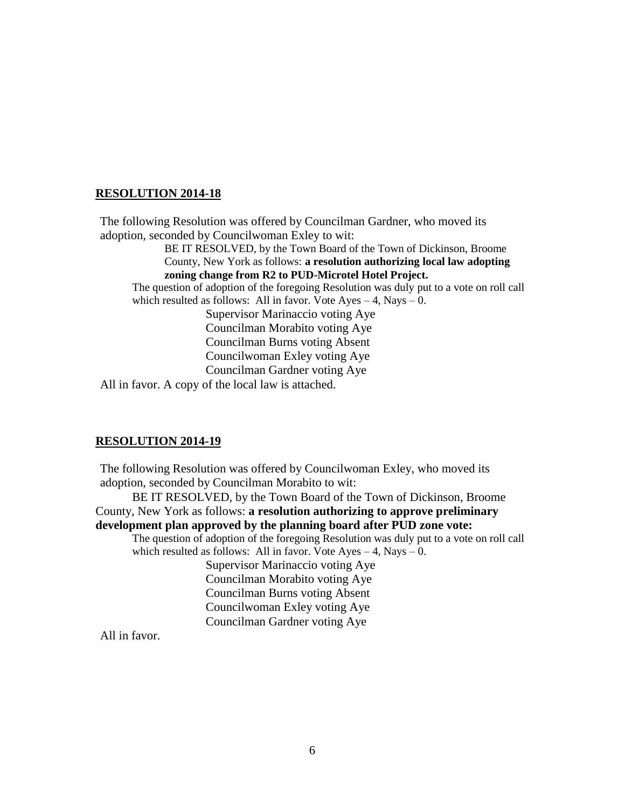The following Resolution was offered by Councilman Gardner, who moved its adoption, seconded by Councilwoman Exley to wit:

BE IT RESOLVED, by the Town Board of the Town of Dickinson, Broome County, New York as follows: **a resolution authorizing local law adopting zoning change from R2 to PUD-Microtel Hotel Project.**

The question of adoption of the foregoing Resolution was duly put to a vote on roll call which resulted as follows: All in favor. Vote  $Ayes - 4$ , Nays  $- 0$ .

Supervisor Marinaccio voting Aye Councilman Morabito voting Aye Councilman Burns voting Absent Councilwoman Exley voting Aye Councilman Gardner voting Aye

All in favor. A copy of the local law is attached.

#### **RESOLUTION 2014-19**

The following Resolution was offered by Councilwoman Exley, who moved its adoption, seconded by Councilman Morabito to wit:

BE IT RESOLVED, by the Town Board of the Town of Dickinson, Broome County, New York as follows: **a resolution authorizing to approve preliminary development plan approved by the planning board after PUD zone vote:**

The question of adoption of the foregoing Resolution was duly put to a vote on roll call which resulted as follows: All in favor. Vote  $Ayes - 4$ , Nays  $- 0$ .

> Supervisor Marinaccio voting Aye Councilman Morabito voting Aye Councilman Burns voting Absent Councilwoman Exley voting Aye Councilman Gardner voting Aye

All in favor.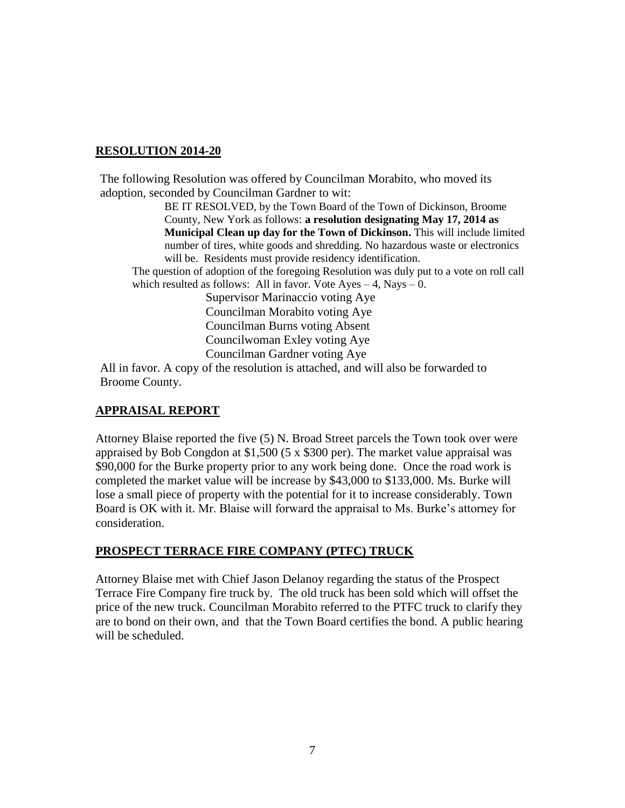The following Resolution was offered by Councilman Morabito, who moved its adoption, seconded by Councilman Gardner to wit:

> BE IT RESOLVED, by the Town Board of the Town of Dickinson, Broome County, New York as follows: **a resolution designating May 17, 2014 as Municipal Clean up day for the Town of Dickinson.** This will include limited number of tires, white goods and shredding. No hazardous waste or electronics will be. Residents must provide residency identification.

The question of adoption of the foregoing Resolution was duly put to a vote on roll call which resulted as follows: All in favor. Vote Ayes  $-4$ , Nays  $-0$ .

> Supervisor Marinaccio voting Aye Councilman Morabito voting Aye Councilman Burns voting Absent Councilwoman Exley voting Aye Councilman Gardner voting Aye

All in favor. A copy of the resolution is attached, and will also be forwarded to Broome County.

## **APPRAISAL REPORT**

Attorney Blaise reported the five (5) N. Broad Street parcels the Town took over were appraised by Bob Congdon at \$1,500 (5 x \$300 per). The market value appraisal was \$90,000 for the Burke property prior to any work being done. Once the road work is completed the market value will be increase by \$43,000 to \$133,000. Ms. Burke will lose a small piece of property with the potential for it to increase considerably. Town Board is OK with it. Mr. Blaise will forward the appraisal to Ms. Burke's attorney for consideration.

## **PROSPECT TERRACE FIRE COMPANY (PTFC) TRUCK**

Attorney Blaise met with Chief Jason Delanoy regarding the status of the Prospect Terrace Fire Company fire truck by. The old truck has been sold which will offset the price of the new truck. Councilman Morabito referred to the PTFC truck to clarify they are to bond on their own, and that the Town Board certifies the bond. A public hearing will be scheduled.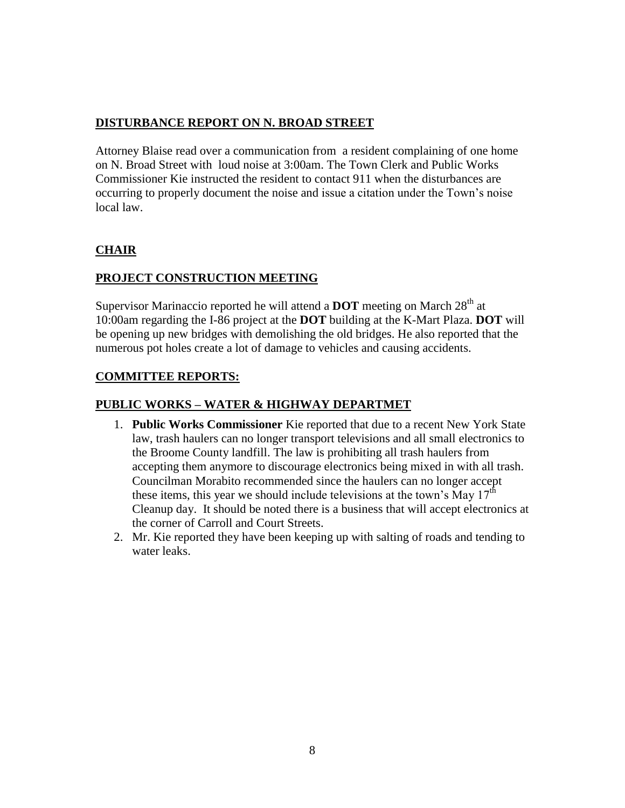# **DISTURBANCE REPORT ON N. BROAD STREET**

Attorney Blaise read over a communication from a resident complaining of one home on N. Broad Street with loud noise at 3:00am. The Town Clerk and Public Works Commissioner Kie instructed the resident to contact 911 when the disturbances are occurring to properly document the noise and issue a citation under the Town's noise local law.

# **CHAIR**

# **PROJECT CONSTRUCTION MEETING**

Supervisor Marinaccio reported he will attend a **DOT** meeting on March 28<sup>th</sup> at 10:00am regarding the I-86 project at the **DOT** building at the K-Mart Plaza. **DOT** will be opening up new bridges with demolishing the old bridges. He also reported that the numerous pot holes create a lot of damage to vehicles and causing accidents.

## **COMMITTEE REPORTS:**

# **PUBLIC WORKS – WATER & HIGHWAY DEPARTMET**

- 1. **Public Works Commissioner** Kie reported that due to a recent New York State law, trash haulers can no longer transport televisions and all small electronics to the Broome County landfill. The law is prohibiting all trash haulers from accepting them anymore to discourage electronics being mixed in with all trash. Councilman Morabito recommended since the haulers can no longer accept these items, this year we should include televisions at the town's May  $17<sup>th</sup>$ Cleanup day. It should be noted there is a business that will accept electronics at the corner of Carroll and Court Streets.
- 2. Mr. Kie reported they have been keeping up with salting of roads and tending to water leaks.